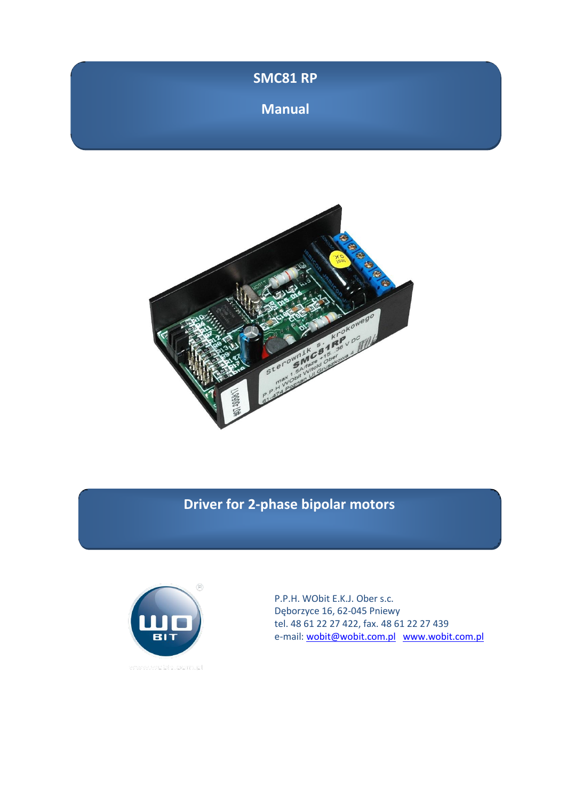| SMC81 RP      |  |
|---------------|--|
| <b>Manual</b> |  |



# **Driver for 2-phase bipolar motors**



P.P.H. WObit E.K.J. Ober s.c. Dęborzyce 16, 62-045 Pniewy tel. 48 61 22 27 422, fax. 48 61 22 27 439 e-mail: [wobit@wobit.com.pl](mailto:wobit@wobit.com.pl) [www.wobit.com.pl](http://www.wobit.com.pl/)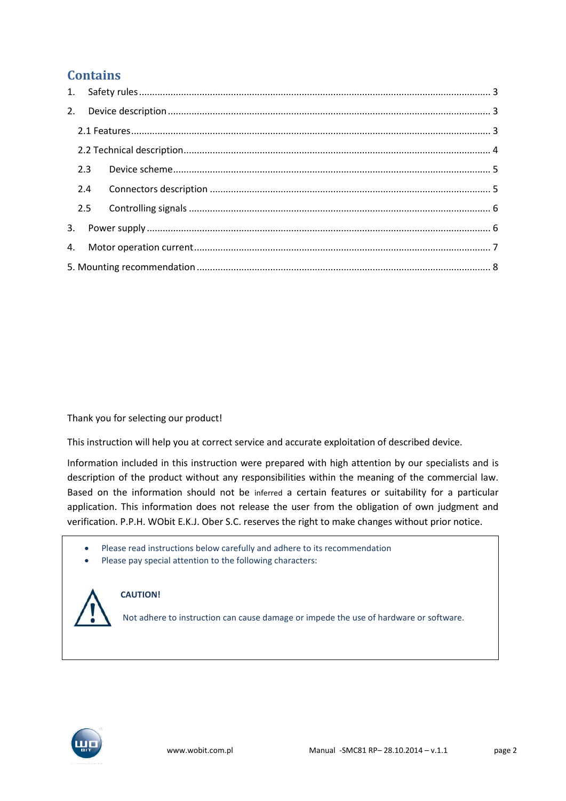## **Contains**

| 2.4 |  |
|-----|--|
|     |  |
|     |  |
|     |  |
|     |  |

#### Thank you for selecting our product!

This instruction will help you at correct service and accurate exploitation of described device.

Information included in this instruction were prepared with high attention by our specialists and is description of the product without any responsibilities within the meaning of the commercial law. Based on the information should not be inferred a certain features or suitability for a particular application. This information does not release the user from the obligation of own judgment and verification. P.P.H. WObit E.K.J. Ober S.C. reserves the right to make changes without prior notice.

- Please read instructions below carefully and adhere to its recommendation
- Please pay special attention to the following characters:



#### **CAUTION!**

Not adhere to instruction can cause damage or impede the use of hardware or software.

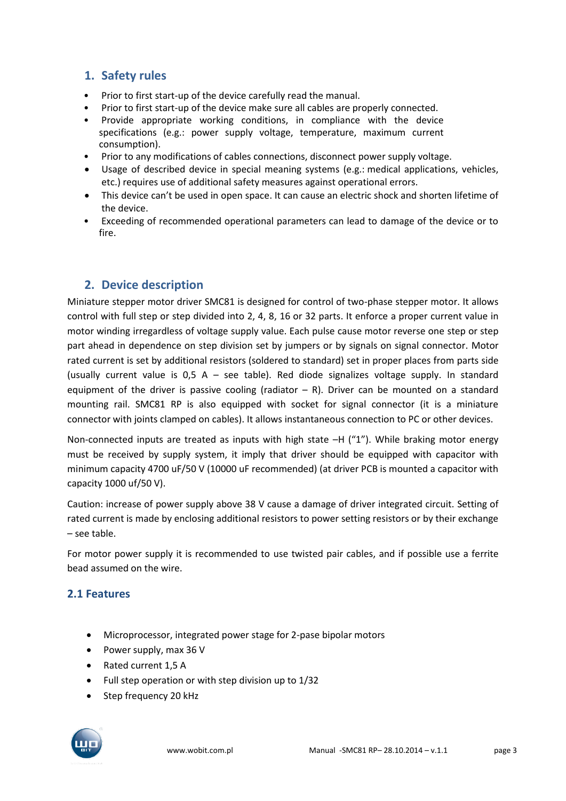### <span id="page-2-0"></span>**1. Safety rules**

- Prior to first start-up of the device carefully read the manual.
- Prior to first start-up of the device make sure all cables are properly connected.
- Provide appropriate working conditions, in compliance with the device specifications (e.g.: power supply voltage, temperature, maximum current consumption).
- Prior to any modifications of cables connections, disconnect power supply voltage.
- Usage of described device in special meaning systems (e.g.: medical applications, vehicles, etc.) requires use of additional safety measures against operational errors.
- This device can't be used in open space. It can cause an electric shock and shorten lifetime of the device.
- Exceeding of recommended operational parameters can lead to damage of the device or to fire.

#### <span id="page-2-1"></span>**2. Device description**

Miniature stepper motor driver SMC81 is designed for control of two-phase stepper motor. It allows control with full step or step divided into 2, 4, 8, 16 or 32 parts. It enforce a proper current value in motor winding irregardless of voltage supply value. Each pulse cause motor reverse one step or step part ahead in dependence on step division set by jumpers or by signals on signal connector. Motor rated current is set by additional resistors (soldered to standard) set in proper places from parts side (usually current value is 0,5 A – see table). Red diode signalizes voltage supply. In standard equipment of the driver is passive cooling (radiator  $-$  R). Driver can be mounted on a standard mounting rail. SMC81 RP is also equipped with socket for signal connector (it is a miniature connector with joints clamped on cables). It allows instantaneous connection to PC or other devices.

Non-connected inputs are treated as inputs with high state  $-H$  ("1"). While braking motor energy must be received by supply system, it imply that driver should be equipped with capacitor with minimum capacity 4700 uF/50 V (10000 uF recommended) (at driver PCB is mounted a capacitor with capacity 1000 uf/50 V).

Caution: increase of power supply above 38 V cause a damage of driver integrated circuit. Setting of rated current is made by enclosing additional resistors to power setting resistors or by their exchange – see table.

For motor power supply it is recommended to use twisted pair cables, and if possible use a ferrite bead assumed on the wire.

### <span id="page-2-2"></span>**2.1 Features**

- Microprocessor, integrated power stage for 2-pase bipolar motors
- Power supply, max 36 V
- Rated current 1,5 A
- Full step operation or with step division up to 1/32
- Step frequency 20 kHz

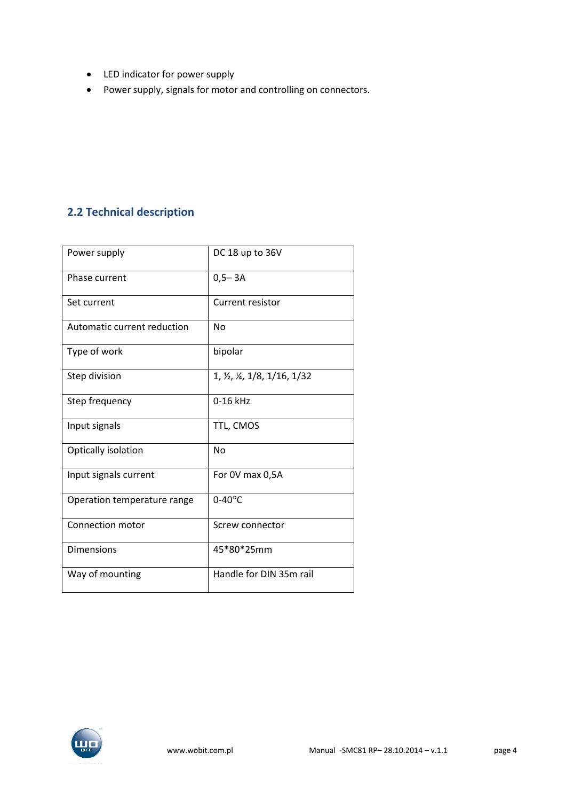- LED indicator for power supply
- Power supply, signals for motor and controlling on connectors.

### <span id="page-3-0"></span>**2.2 Technical description**

| Power supply                | DC 18 up to 36V                               |
|-----------------------------|-----------------------------------------------|
| Phase current               | $0,5 - 3A$                                    |
| Set current                 | Current resistor                              |
| Automatic current reduction | No                                            |
| Type of work                | bipolar                                       |
| Step division               | 1, $\frac{1}{2}$ , $\frac{1}{8}$ , 1/16, 1/32 |
| Step frequency              | $0-16$ kHz                                    |
| Input signals               | TTL, CMOS                                     |
| Optically isolation         | <b>No</b>                                     |
| Input signals current       | For 0V max 0,5A                               |
| Operation temperature range | $0-40$ °C                                     |
| Connection motor            | Screw connector                               |
| <b>Dimensions</b>           | 45*80*25mm                                    |
| Way of mounting             | Handle for DIN 35m rail                       |

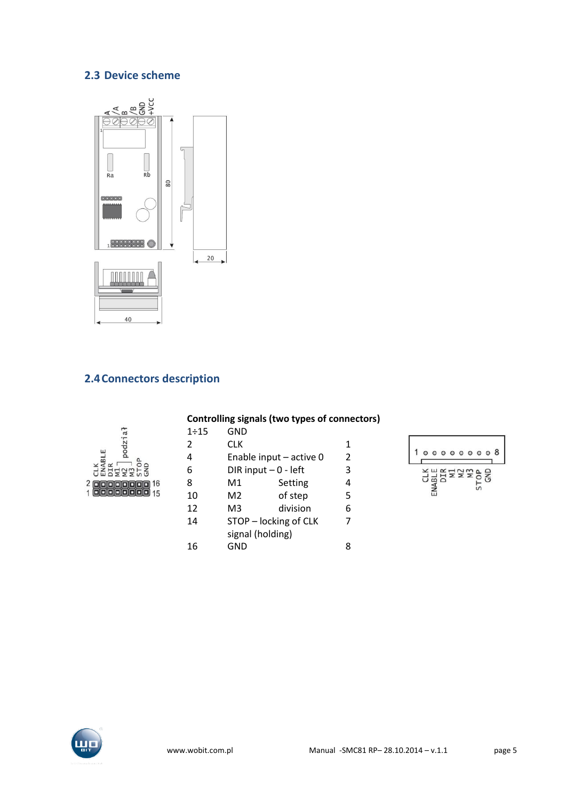### <span id="page-4-0"></span>**2.3 Device scheme**



### <span id="page-4-1"></span>**2.4Connectors description**

| 8<br>ompari<br>The Los<br>Charling            |
|-----------------------------------------------|
| 16<br>$\overline{\mathbf{c}}$<br>199998<br>15 |

#### **Controlling signals (two types of connectors)**

| 1:15 | GND                     |          |                |
|------|-------------------------|----------|----------------|
| 2    | <b>CLK</b>              |          | 1              |
| 4    | Enable input - active 0 |          | $\overline{2}$ |
| 6    | DIR input $-0$ - left   |          | 3              |
| 8    | M1                      | Setting  | 4              |
| 10   | M2                      | of step  | 5              |
| 12   | M3                      | division | 6              |
| 14   | STOP - locking of CLK   |          | 7              |
|      | signal (holding)        |          |                |
| 16   | GND                     |          |                |



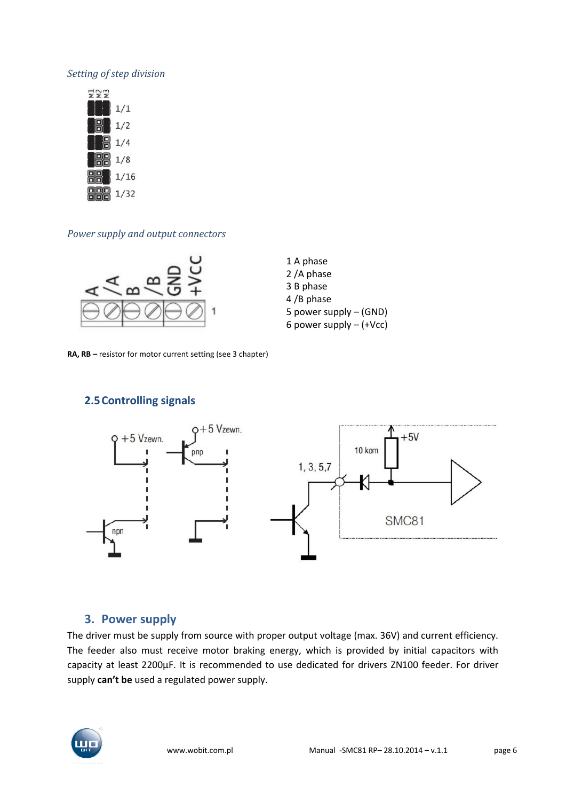#### *Setting of step division*



#### *Power supply and output connectors*



1 A phase 2 /A phase 3 B phase 4 /B phase 5 power supply – (GND) 6 power supply – (+Vcc)

**RA, RB –** resistor for motor current setting (see 3 chapter)

#### <span id="page-5-0"></span>**2.5Controlling signals**



#### <span id="page-5-1"></span>**3. Power supply**

The driver must be supply from source with proper output voltage (max. 36V) and current efficiency. The feeder also must receive motor braking energy, which is provided by initial capacitors with capacity at least 2200µF. It is recommended to use dedicated for drivers ZN100 feeder. For driver supply **can't be** used a regulated power supply.

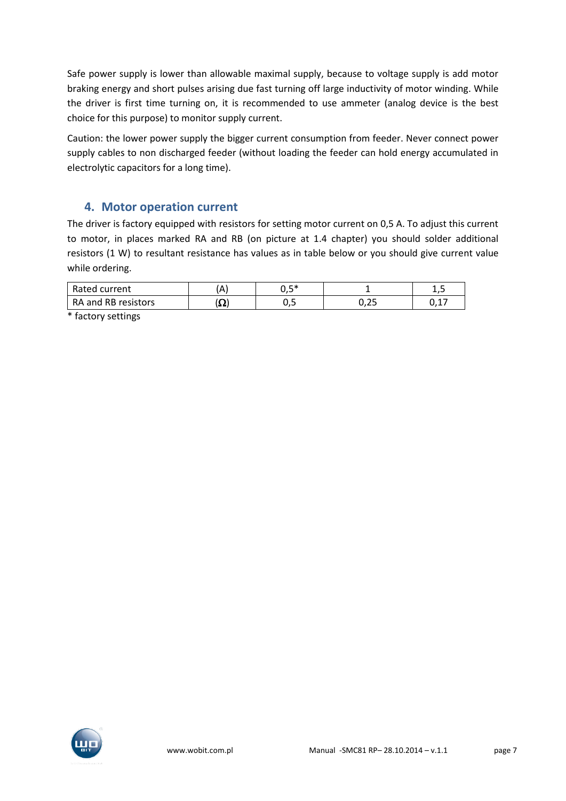Safe power supply is lower than allowable maximal supply, because to voltage supply is add motor braking energy and short pulses arising due fast turning off large inductivity of motor winding. While the driver is first time turning on, it is recommended to use ammeter (analog device is the best choice for this purpose) to monitor supply current.

Caution: the lower power supply the bigger current consumption from feeder. Never connect power supply cables to non discharged feeder (without loading the feeder can hold energy accumulated in electrolytic capacitors for a long time).

### <span id="page-6-0"></span>**4. Motor operation current**

The driver is factory equipped with resistors for setting motor current on 0,5 A. To adjust this current to motor, in places marked RA and RB (on picture at 1.4 chapter) you should solder additional resistors (1 W) to resultant resistance has values as in table below or you should give current value while ordering.

| Rated current       |       | . ⊏*<br>◡,◡ |       | --         |
|---------------------|-------|-------------|-------|------------|
| RA and RB resistors | 12 Z. | ◡,◡         | ل ک ب | -45<br>∪,⊥ |

\* factory settings